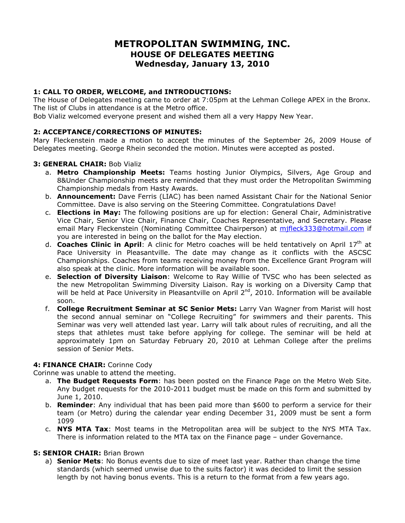# **METROPOLITAN SWIMMING, INC. HOUSE OF DELEGATES MEETING Wednesday, January 13, 2010**

# **1: CALL TO ORDER, WELCOME, and INTRODUCTIONS:**

The House of Delegates meeting came to order at 7:05pm at the Lehman College APEX in the Bronx. The list of Clubs in attendance is at the Metro office.

Bob Vializ welcomed everyone present and wished them all a very Happy New Year.

# **2: ACCEPTANCE/CORRECTIONS OF MINUTES:**

Mary Fleckenstein made a motion to accept the minutes of the September 26, 2009 House of Delegates meeting. George Rhein seconded the motion. Minutes were accepted as posted.

# **3: GENERAL CHAIR:** Bob Vializ

- a. **Metro Championship Meets:** Teams hosting Junior Olympics, Silvers, Age Group and 8&Under Championship meets are reminded that they must order the Metropolitan Swimming Championship medals from Hasty Awards.
- b. **Announcement:** Dave Ferris (LIAC) has been named Assistant Chair for the National Senior Committee. Dave is also serving on the Steering Committee. Congratulations Dave!
- c. **Elections in May:** The following positions are up for election: General Chair, Administrative Vice Chair, Senior Vice Chair, Finance Chair, Coaches Representative, and Secretary. Please email Mary Fleckenstein (Nominating Committee Chairperson) at [mjfleck333@hotmail.com](mailto:mjfleck333@hotmail.com) if you are interested in being on the ballot for the May election.
- d. **Coaches Clinic in April**: A clinic for Metro coaches will be held tentatively on April 17th at Pace University in Pleasantville. The date may change as it conflicts with the ASCSC Championships. Coaches from teams receiving money from the Excellence Grant Program will also speak at the clinic. More information will be available soon.
- e. **Selection of Diversity Liaison**: Welcome to Ray Willie of TVSC who has been selected as the new Metropolitan Swimming Diversity Liaison. Ray is working on a Diversity Camp that will be held at Pace University in Pleasantville on April 2<sup>nd</sup>, 2010. Information will be available soon.
- f. **College Recruitment Seminar at SC Senior Mets:** Larry Van Wagner from Marist will host the second annual seminar on "College Recruiting" for swimmers and their parents. This Seminar was very well attended last year. Larry will talk about rules of recruiting, and all the steps that athletes must take before applying for college. The seminar will be held at approximately 1pm on Saturday February 20, 2010 at Lehman College after the prelims session of Senior Mets.

#### **4: FINANCE CHAIR:** Corinne Cody

Corinne was unable to attend the meeting.

- a. **The Budget Requests Form**: has been posted on the Finance Page on the Metro Web Site. Any budget requests for the 2010-2011 budget must be made on this form and submitted by June 1, 2010.
- b. **Reminder**: Any individual that has been paid more than \$600 to perform a service for their team (or Metro) during the calendar year ending December 31, 2009 must be sent a form 1099
- c. **NYS MTA Tax**: Most teams in the Metropolitan area will be subject to the NYS MTA Tax. There is information related to the MTA tax on the Finance page – under Governance.

# **5: SENIOR CHAIR:** Brian Brown

a) **Senior Mets**: No Bonus events due to size of meet last year. Rather than change the time standards (which seemed unwise due to the suits factor) it was decided to limit the session length by not having bonus events. This is a return to the format from a few years ago.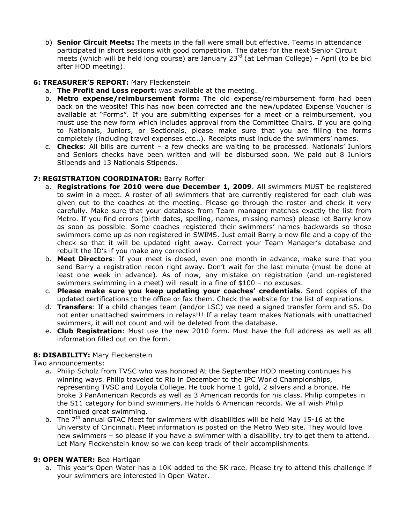b) **Senior Circuit Meets:** The meets in the fall were small but effective. Teams in attendance participated in short sessions with good competition. The dates for the next Senior Circuit meets (which will be held long course) are January  $23<sup>rd</sup>$  (at Lehman College) – April (to be bid after HOD meeting).

# **6: TREASURER'S REPORT:** Mary Fleckenstein

- a. **The Profit and Loss report:** was available at the meeting.
- b. **Metro expense/reimbursement form:** The old expense/reimbursement form had been back on the website! This has now been corrected and the new/updated Expense Voucher is available at "Forms". If you are submitting expenses for a meet or a reimbursement, you must use the new form which includes approval from the Committee Chairs. If you are going to Nationals, Juniors, or Sectionals, please make sure that you are filling the forms completely (including travel expenses etc…). Receipts must include the swimmers' names.
- c. **Checks**: All bills are current a few checks are waiting to be processed. Nationals' Juniors and Seniors checks have been written and will be disbursed soon. We paid out 8 Juniors Stipends and 13 Nationals Stipends.

# **7: REGISTRATION COORDINATOR:** Barry Roffer

- a. **Registrations for 2010 were due December 1, 2009**. All swimmers MUST be registered to swim in a meet. A roster of all swimmers that are currently registered for each club was given out to the coaches at the meeting. Please go through the roster and check it very carefully. Make sure that your database from Team manager matches exactly the list from Metro. If you find errors (birth dates, spelling, names, missing names) please let Barry know as soon as possible. Some coaches registered their swimmers' names backwards so those swimmers come up as non registered in SWIMS. Just email Barry a new file and a copy of the check so that it will be updated right away. Correct your Team Manager's database and rebuilt the ID's if you make any correction!
- b. **Meet Directors**: If your meet is closed, even one month in advance, make sure that you send Barry a registration recon right away. Don't wait for the last minute (must be done at least one week in advance). As of now, any mistake on registration (and un-registered swimmers swimming in a meet) will result in a fine of \$100 – no excuses.
- c. **Please make sure you keep updating your coaches' credentials**. Send copies of the updated certifications to the office or fax them. Check the website for the list of expirations.
- d. **Transfers**: If a child changes team (and/or LSC) we need a signed transfer form and \$5. Do not enter unattached swimmers in relays!!! If a relay team makes Nationals with unattached swimmers, it will not count and will be deleted from the database.
- e. **Club Registration**: Must use the new 2010 form. Must have the full address as well as all information filled out on the form.

#### **8: DISABILITY:** Mary Fleckenstein

Two announcements:

- a. Philip Scholz from TVSC who was honored At the September HOD meeting continues his winning ways. Philip traveled to Rio in December to the IPC World Championships, representing TVSC and Loyola College. He took home 1 gold, 2 silvers and a bronze. He broke 3 PanAmerican Records as well as 3 American records for his class. Philip competes in the S11 category for blind swimmers. He holds 6 American records. We all wish Philip continued great swimming.
- b. The  $7<sup>th</sup>$  annual GTAC Meet for swimmers with disabilities will be held May 15-16 at the University of Cincinnati. Meet information is posted on the Metro Web site. They would love new swimmers – so please if you have a swimmer with a disability, try to get them to attend. Let Mary Fleckenstein know so we can keep track of their accomplishments.

#### **9: OPEN WATER:** Bea Hartigan

a. This year's Open Water has a 10K added to the 5K race. Please try to attend this challenge if your swimmers are interested in Open Water.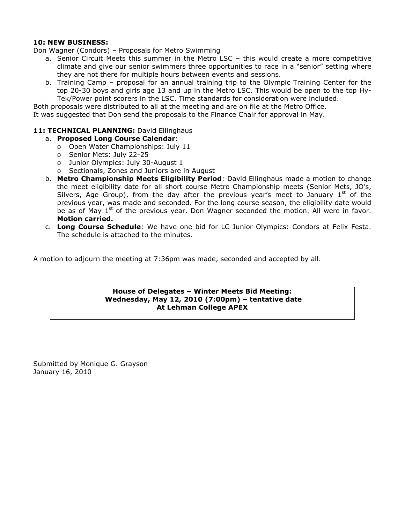#### **10: NEW BUSINESS:**

Don Wagner (Condors) – Proposals for Metro Swimming

- a. Senior Circuit Meets this summer in the Metro LSC this would create a more competitive climate and give our senior swimmers three opportunities to race in a "senior" setting where they are not there for multiple hours between events and sessions.
- b. Training Camp proposal for an annual training trip to the Olympic Training Center for the top 20-30 boys and girls age 13 and up in the Metro LSC. This would be open to the top Hy-Tek/Power point scorers in the LSC. Time standards for consideration were included.

Both proposals were distributed to all at the meeting and are on file at the Metro Office.

It was suggested that Don send the proposals to the Finance Chair for approval in May.

#### 11: TECHNICAL PLANNING: David Ellinghaus

- a. **Proposed Long Course Calendar**:
	- o Open Water Championships: July 11
	- o Senior Mets: July 22-25
	- o Junior Olympics: July 30-August 1
	- o Sectionals, Zones and Juniors are in August
- b. **Metro Championship Meets Eligibility Period**: David Ellinghaus made a motion to change the meet eligibility date for all short course Metro Championship meets (Senior Mets, JO's, Silvers, Age Group), from the day after the previous year's meet to January  $1<sup>st</sup>$  of the previous year, was made and seconded. For the long course season, the eligibility date would be as of  $May 1<sup>st</sup>$  of the previous year. Don Wagner seconded the motion. All were in favor. **Motion carried.**
- c. **Long Course Schedule**: We have one bid for LC Junior Olympics: Condors at Felix Festa. The schedule is attached to the minutes.

A motion to adjourn the meeting at 7:36pm was made, seconded and accepted by all.

#### **House of Delegates – Winter Meets Bid Meeting: Wednesday, May 12, 2010 (7:00pm) – tentative date At Lehman College APEX**

Submitted by Monique G. Grayson January 16, 2010